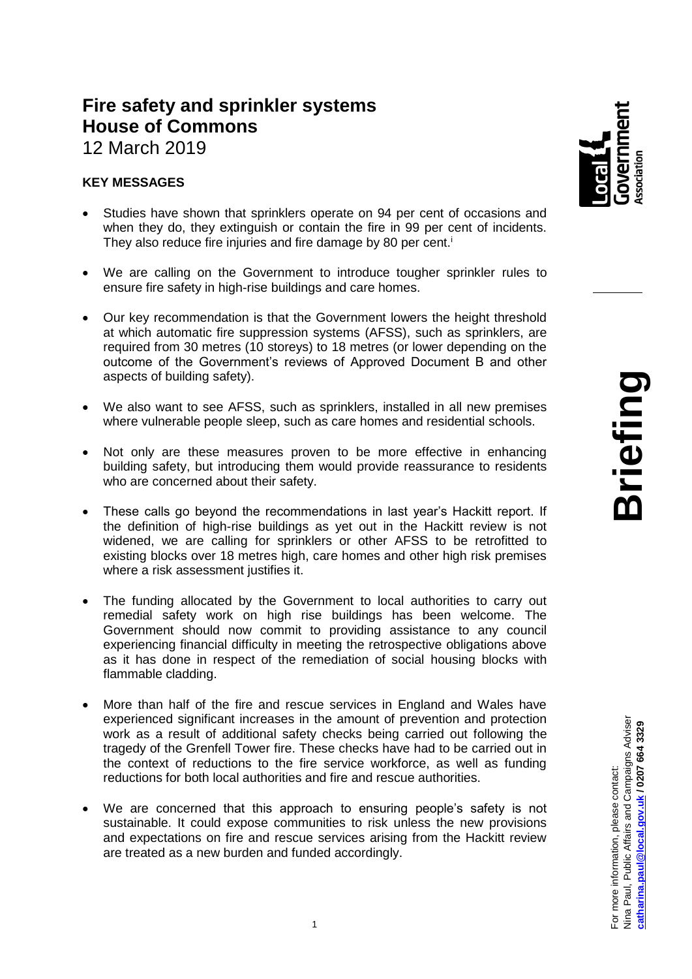# **Fire safety and sprinkler systems House of Commons**

12 March 2019

## **KEY MESSAGES**

- Studies have shown that sprinklers operate on 94 per cent of occasions and when they do, they extinguish or contain the fire in 99 per cent of incidents. They also reduce fire injuries and fire damage by 80 per cent.<sup>i</sup>
- We are calling on the Government to introduce tougher sprinkler rules to ensure fire safety in high-rise buildings and care homes.
- Our key recommendation is that the Government lowers the height threshold at which automatic fire suppression systems (AFSS), such as sprinklers, are required from 30 metres (10 storeys) to 18 metres (or lower depending on the outcome of the Government's reviews of Approved Document B and other aspects of building safety).
- We also want to see AFSS, such as sprinklers, installed in all new premises where vulnerable people sleep, such as care homes and residential schools.
- Not only are these measures proven to be more effective in enhancing building safety, but introducing them would provide reassurance to residents who are concerned about their safety.
- These calls go beyond the recommendations in last year's Hackitt report. If the definition of high-rise buildings as yet out in the Hackitt review is not widened, we are calling for sprinklers or other AFSS to be retrofitted to existing blocks over 18 metres high, care homes and other high risk premises where a risk assessment justifies it.
- The funding allocated by the Government to local authorities to carry out remedial safety work on high rise buildings has been welcome. The Government should now commit to providing assistance to any council experiencing financial difficulty in meeting the retrospective obligations above as it has done in respect of the remediation of social housing blocks with flammable cladding.
- More than half of the fire and rescue services in England and Wales have experienced significant increases in the amount of prevention and protection work as a result of additional safety checks being carried out following the tragedy of the Grenfell Tower fire. These checks have had to be carried out in the context of reductions to the fire service workforce, as well as funding reductions for both local authorities and fire and rescue authorities.
- We are concerned that this approach to ensuring people's safety is not sustainable. It could expose communities to risk unless the new provisions and expectations on fire and rescue services arising from the Hackitt review are treated as a new burden and funded accordingly.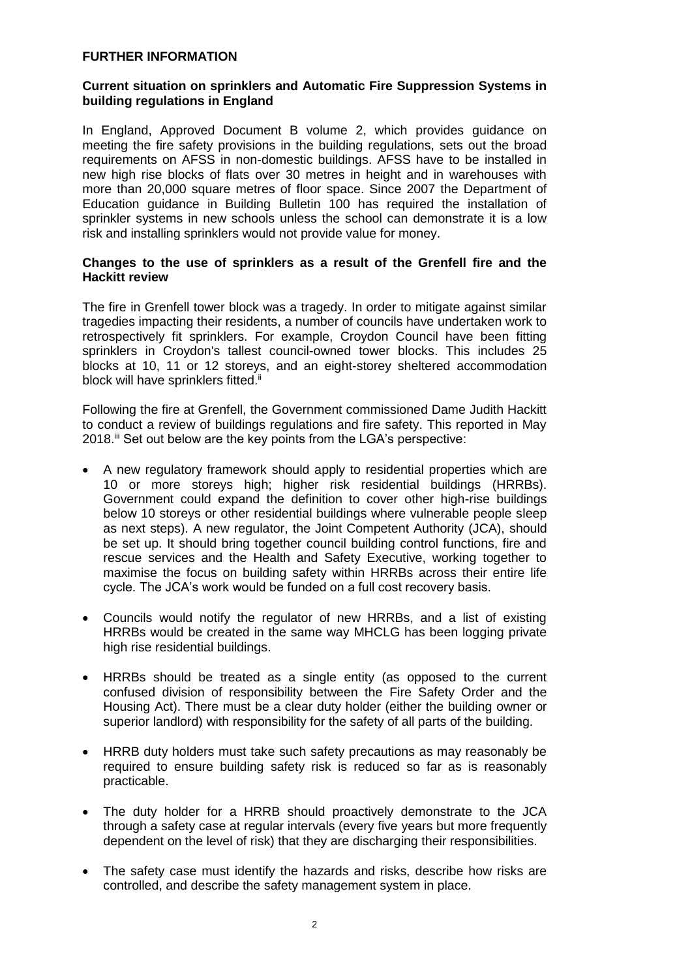#### **FURTHER INFORMATION**

#### **Current situation on sprinklers and Automatic Fire Suppression Systems in building regulations in England**

In England, Approved Document B volume 2, which provides guidance on meeting the fire safety provisions in the building regulations, sets out the broad requirements on AFSS in non-domestic buildings. AFSS have to be installed in new high rise blocks of flats over 30 metres in height and in warehouses with more than 20,000 square metres of floor space. Since 2007 the Department of Education guidance in Building Bulletin 100 has required the installation of sprinkler systems in new schools unless the school can demonstrate it is a low risk and installing sprinklers would not provide value for money.

#### **Changes to the use of sprinklers as a result of the Grenfell fire and the Hackitt review**

The fire in Grenfell tower block was a tragedy. In order to mitigate against similar tragedies impacting their residents, a number of councils have undertaken work to retrospectively fit sprinklers. For example, Croydon Council have been fitting sprinklers in Croydon's tallest council-owned tower blocks. This includes 25 blocks at 10, 11 or 12 storeys, and an eight-storey sheltered accommodation block will have sprinklers fitted.<sup>ii</sup>

Following the fire at Grenfell, the Government commissioned Dame Judith Hackitt to conduct a review of buildings regulations and fire safety. This reported in May 2018.<sup>iii</sup> Set out below are the key points from the LGA's perspective:

- A new regulatory framework should apply to residential properties which are 10 or more storeys high; higher risk residential buildings (HRRBs). Government could expand the definition to cover other high-rise buildings below 10 storeys or other residential buildings where vulnerable people sleep as next steps). A new regulator, the Joint Competent Authority (JCA), should be set up. It should bring together council building control functions, fire and rescue services and the Health and Safety Executive, working together to maximise the focus on building safety within HRRBs across their entire life cycle. The JCA's work would be funded on a full cost recovery basis.
- Councils would notify the regulator of new HRRBs, and a list of existing HRRBs would be created in the same way MHCLG has been logging private high rise residential buildings.
- HRRBs should be treated as a single entity (as opposed to the current confused division of responsibility between the Fire Safety Order and the Housing Act). There must be a clear duty holder (either the building owner or superior landlord) with responsibility for the safety of all parts of the building.
- HRRB duty holders must take such safety precautions as may reasonably be required to ensure building safety risk is reduced so far as is reasonably practicable.
- The duty holder for a HRRB should proactively demonstrate to the JCA through a safety case at regular intervals (every five years but more frequently dependent on the level of risk) that they are discharging their responsibilities.
- The safety case must identify the hazards and risks, describe how risks are controlled, and describe the safety management system in place.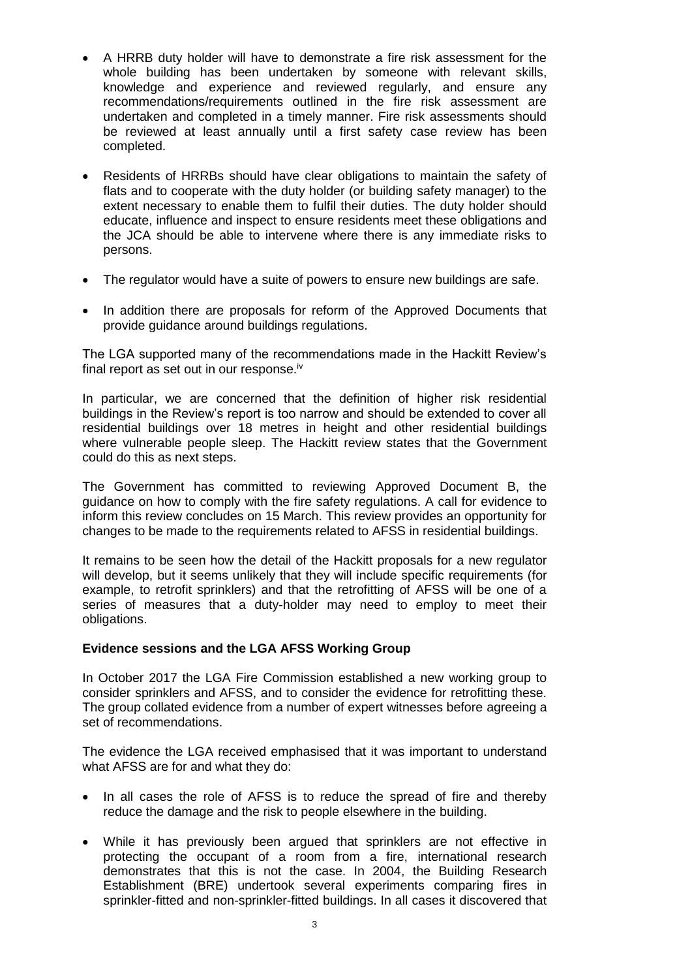- A HRRB duty holder will have to demonstrate a fire risk assessment for the whole building has been undertaken by someone with relevant skills, knowledge and experience and reviewed regularly, and ensure any recommendations/requirements outlined in the fire risk assessment are undertaken and completed in a timely manner. Fire risk assessments should be reviewed at least annually until a first safety case review has been completed.
- Residents of HRRBs should have clear obligations to maintain the safety of flats and to cooperate with the duty holder (or building safety manager) to the extent necessary to enable them to fulfil their duties. The duty holder should educate, influence and inspect to ensure residents meet these obligations and the JCA should be able to intervene where there is any immediate risks to persons.
- The regulator would have a suite of powers to ensure new buildings are safe.
- In addition there are proposals for reform of the Approved Documents that provide guidance around buildings regulations.

The LGA supported many of the recommendations made in the Hackitt Review's final report as set out in our response.<sup>iv</sup>

In particular, we are concerned that the definition of higher risk residential buildings in the Review's report is too narrow and should be extended to cover all residential buildings over 18 metres in height and other residential buildings where vulnerable people sleep. The Hackitt review states that the Government could do this as next steps.

The Government has committed to reviewing Approved Document B, the guidance on how to comply with the fire safety regulations. A call for evidence to inform this review concludes on 15 March. This review provides an opportunity for changes to be made to the requirements related to AFSS in residential buildings.

It remains to be seen how the detail of the Hackitt proposals for a new regulator will develop, but it seems unlikely that they will include specific requirements (for example, to retrofit sprinklers) and that the retrofitting of AFSS will be one of a series of measures that a duty-holder may need to employ to meet their obligations.

### **Evidence sessions and the LGA AFSS Working Group**

In October 2017 the LGA Fire Commission established a new working group to consider sprinklers and AFSS, and to consider the evidence for retrofitting these. The group collated evidence from a number of expert witnesses before agreeing a set of recommendations.

The evidence the LGA received emphasised that it was important to understand what AFSS are for and what they do:

- In all cases the role of AFSS is to reduce the spread of fire and thereby reduce the damage and the risk to people elsewhere in the building.
- While it has previously been argued that sprinklers are not effective in protecting the occupant of a room from a fire, international research demonstrates that this is not the case. In 2004, the Building Research Establishment (BRE) undertook several experiments comparing fires in sprinkler-fitted and non-sprinkler-fitted buildings. In all cases it discovered that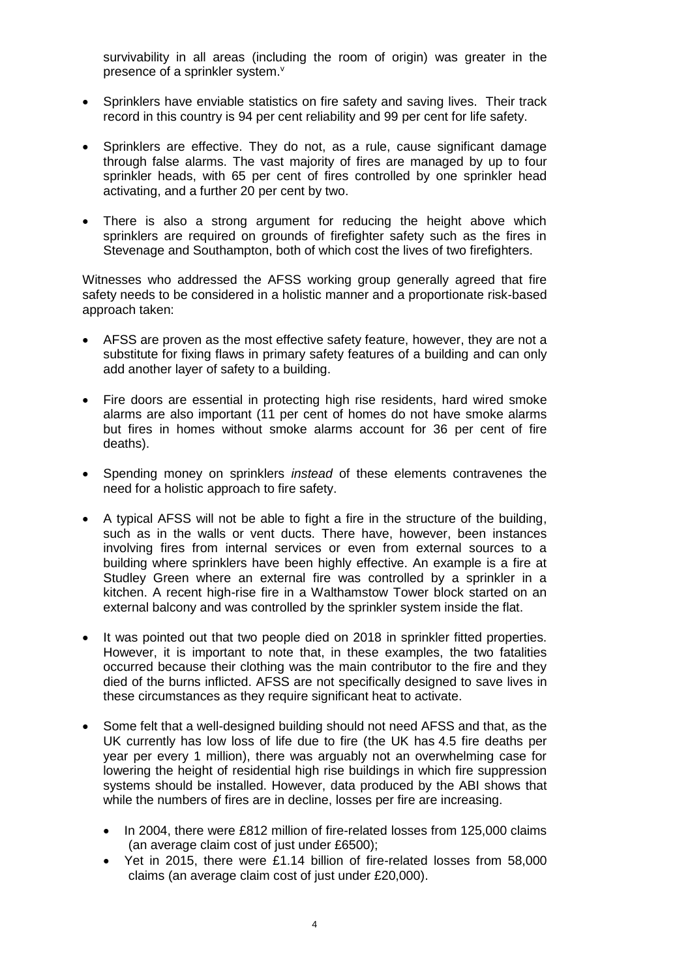survivability in all areas (including the room of origin) was greater in the presence of a sprinkler system.<sup>v</sup>

- Sprinklers have enviable statistics on fire safety and saving lives. Their track record in this country is 94 per cent reliability and 99 per cent for life safety.
- Sprinklers are effective. They do not, as a rule, cause significant damage through false alarms. The vast majority of fires are managed by up to four sprinkler heads, with 65 per cent of fires controlled by one sprinkler head activating, and a further 20 per cent by two.
- There is also a strong argument for reducing the height above which sprinklers are required on grounds of firefighter safety such as the fires in Stevenage and Southampton, both of which cost the lives of two firefighters.

Witnesses who addressed the AFSS working group generally agreed that fire safety needs to be considered in a holistic manner and a proportionate risk-based approach taken:

- AFSS are proven as the most effective safety feature, however, they are not a substitute for fixing flaws in primary safety features of a building and can only add another layer of safety to a building.
- Fire doors are essential in protecting high rise residents, hard wired smoke alarms are also important (11 per cent of homes do not have smoke alarms but fires in homes without smoke alarms account for 36 per cent of fire deaths).
- Spending money on sprinklers *instead* of these elements contravenes the need for a holistic approach to fire safety.
- A typical AFSS will not be able to fight a fire in the structure of the building, such as in the walls or vent ducts. There have, however, been instances involving fires from internal services or even from external sources to a building where sprinklers have been highly effective. An example is a fire at Studley Green where an external fire was controlled by a sprinkler in a kitchen. A recent high-rise fire in a Walthamstow Tower block started on an external balcony and was controlled by the sprinkler system inside the flat.
- It was pointed out that two people died on 2018 in sprinkler fitted properties. However, it is important to note that, in these examples, the two fatalities occurred because their clothing was the main contributor to the fire and they died of the burns inflicted. AFSS are not specifically designed to save lives in these circumstances as they require significant heat to activate.
- Some felt that a well-designed building should not need AFSS and that, as the UK currently has low loss of life due to fire (the UK has 4.5 fire deaths per year per every 1 million), there was arguably not an overwhelming case for lowering the height of residential high rise buildings in which fire suppression systems should be installed. However, data produced by the ABI shows that while the numbers of fires are in decline, losses per fire are increasing.
	- In 2004, there were £812 million of fire-related losses from 125,000 claims (an average claim cost of just under £6500);
	- Yet in 2015, there were £1.14 billion of fire-related losses from 58,000 claims (an average claim cost of just under £20,000).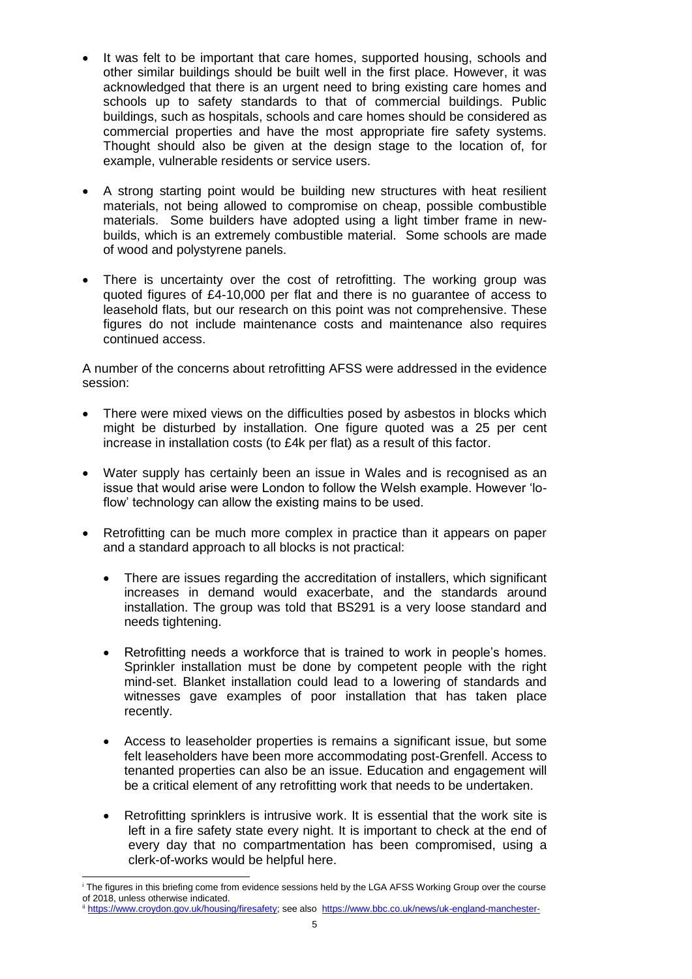- It was felt to be important that care homes, supported housing, schools and other similar buildings should be built well in the first place. However, it was acknowledged that there is an urgent need to bring existing care homes and schools up to safety standards to that of commercial buildings. Public buildings, such as hospitals, schools and care homes should be considered as commercial properties and have the most appropriate fire safety systems. Thought should also be given at the design stage to the location of, for example, vulnerable residents or service users.
- A strong starting point would be building new structures with heat resilient materials, not being allowed to compromise on cheap, possible combustible materials. Some builders have adopted using a light timber frame in newbuilds, which is an extremely combustible material. Some schools are made of wood and polystyrene panels.
- There is uncertainty over the cost of retrofitting. The working group was quoted figures of £4-10,000 per flat and there is no guarantee of access to leasehold flats, but our research on this point was not comprehensive. These figures do not include maintenance costs and maintenance also requires continued access.

A number of the concerns about retrofitting AFSS were addressed in the evidence session:

- There were mixed views on the difficulties posed by asbestos in blocks which might be disturbed by installation. One figure quoted was a 25 per cent increase in installation costs (to £4k per flat) as a result of this factor.
- Water supply has certainly been an issue in Wales and is recognised as an issue that would arise were London to follow the Welsh example. However 'loflow' technology can allow the existing mains to be used.
- Retrofitting can be much more complex in practice than it appears on paper and a standard approach to all blocks is not practical:
	- There are issues regarding the accreditation of installers, which significant increases in demand would exacerbate, and the standards around installation. The group was told that BS291 is a very loose standard and needs tightening.
	- Retrofitting needs a workforce that is trained to work in people's homes. Sprinkler installation must be done by competent people with the right mind-set. Blanket installation could lead to a lowering of standards and witnesses gave examples of poor installation that has taken place recently.
	- Access to leaseholder properties is remains a significant issue, but some felt leaseholders have been more accommodating post-Grenfell. Access to tenanted properties can also be an issue. Education and engagement will be a critical element of any retrofitting work that needs to be undertaken.
	- Retrofitting sprinklers is intrusive work. It is essential that the work site is left in a fire safety state every night. It is important to check at the end of every day that no compartmentation has been compromised, using a clerk-of-works would be helpful here.

 <sup>i</sup> The figures in this briefing come from evidence sessions held by the LGA AFSS Working Group over the course of 2018, unless otherwise indicated.

iii [https://www.croydon.gov.uk/housing/firesafety;](https://www.croydon.gov.uk/housing/firesafety) see also [https://www.bbc.co.uk/news/uk-england-manchester-](https://www.bbc.co.uk/news/uk-england-manchester-42339927)